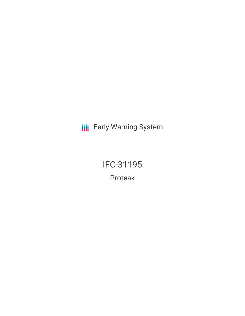**III** Early Warning System

IFC-31195 Proteak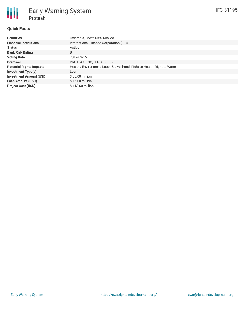## **Quick Facts**

| <b>Countries</b>                | Colombia, Costa Rica, Mexico                                             |  |  |  |  |
|---------------------------------|--------------------------------------------------------------------------|--|--|--|--|
| <b>Financial Institutions</b>   | International Finance Corporation (IFC)                                  |  |  |  |  |
| <b>Status</b>                   | Active                                                                   |  |  |  |  |
| <b>Bank Risk Rating</b>         | B                                                                        |  |  |  |  |
| <b>Voting Date</b>              | 2012-03-15                                                               |  |  |  |  |
| <b>Borrower</b>                 | PROTEAK UNO, S.A.B. DE C.V.                                              |  |  |  |  |
| <b>Potential Rights Impacts</b> | Healthy Environment, Labor & Livelihood, Right to Health, Right to Water |  |  |  |  |
| <b>Investment Type(s)</b>       | Loan                                                                     |  |  |  |  |
| <b>Investment Amount (USD)</b>  | $$30.00$ million                                                         |  |  |  |  |
| <b>Loan Amount (USD)</b>        | $$15.00$ million                                                         |  |  |  |  |
| <b>Project Cost (USD)</b>       | \$113.60 million                                                         |  |  |  |  |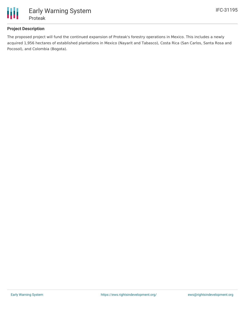

## **Project Description**

The proposed project will fund the continued expansion of Proteak's forestry operations in Mexico. This includes a newly acquired 1,956 hectares of established plantations in Mexico (Nayarit and Tabasco), Costa Rica (San Carlos, Santa Rosa and Pocosol), and Colombia (Bogota).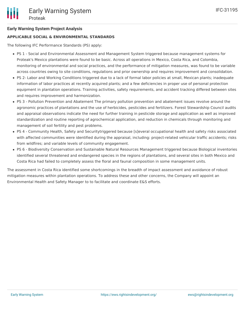### **Early Warning System Project Analysis**

### **APPLICABLE SOCIAL & ENVIRONMENTAL STANDARDS**

The following IFC Performance Standards (PS) apply:

- PS 1 Social and Environmental Assessment and Management System triggered because management systems for Proteak's Mexico plantations were found to be basic. Across all operations in Mexico, Costa Rica, and Colombia, monitoring of environmental and social practices, and the performance of mitigation measures, was found to be variable across countries owing to site conditions, regulations and prior ownership and requires improvement and consolidation.
- PS 2- Labor and Working Conditions triggered due to a lack of formal labor policies at small, Mexican plants; inadequate information of labor practices at recently acquired plants; and a few deficiencies in proper use of personal protection equipment in plantation operations. Training activities, safety requirements, and accident tracking differed between sites and requires improvement and harmonization.
- PS 3 Pollution Prevention and Abatement The primary pollution prevention and abatement issues revolve around the agronomic practices of plantations and the use of herbicides, pesticides and fertilizers. Forest Stewardship Council audits and appraisal observations indicate the need for further training in pesticide storage and application as well as improved standardization and routine reporting of agrochemical application, and reduction in chemicals through monitoring and management of soil fertility and pest problems.
- PS 4 Community Health, Safety and Securitytriggered because [s]everal occupational health and safety risks associated with affected communities were identified during the appraisal, including: project-related vehicular traffic accidents; risks from wildfires; and variable levels of community engagement.
- PS 6 Biodiversity Conservation and Sustainable Natural Resources Management triggered because Biological inventories identified several threatened and endangered species in the regions of plantations, and several sites in both Mexico and Costa Rica had failed to completely assess the floral and faunal composition in some management units.

The assessment in Costa Rica identified some shortcomings in the breadth of impact assessment and avoidance of robust mitigation measures within plantation operations. To address these and other concerns, the Company will appoint an Environmental Health and Safety Manager to to facilitate and coordinate E&S efforts.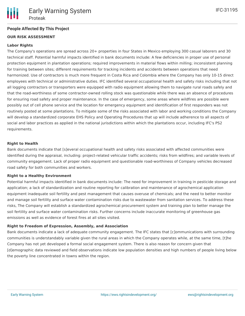### **People Affected By This Project**

### **OUR RISK ASSESSMENT**

### **Labor Rights**

The Company's operations are spread across 20+ properties in four States in Mexico employing 300 casual laborers and 30 technical staff. Potential harmful impacts identified in bank documents include: A few deficiencies in proper use of personal protection equipment in plantation operations; required improvements in material flows within milling; inconsistent planning for training between sites; different requirements for tracking incidents and accidents between operations that need harmonized. Use of contractors is much more frequent in Costa Rica and Colombia where the Company has only 10-15 direct employees with technical or administrative duties. IFC identified several occupational health and safety risks including that not all logging contractors or transporters were equipped with radio equipment allowing them to navigate rural roads safely and that the road-worthiness of some contractor-owned rolling stock was questionable while there was an absence of procedures for ensuring road safety and proper maintenance. In the case of emergency, some areas where wildfires are possible were possibly out of cell phone service and the location for emergency equipment and identification of first responders was not routinely posted at some plantations. To mitigate some of the risks associated with labor and working conditions the Company will develop a standardized corporate EHS Policy and Operating Procedures that up will include adherence to all aspects of social and labor practices as applied in the national jurisdictions within which the plantations occur, including IFC's PS2 requirements.

### **Right to Health**

Bank documents indicate that [s]everal occupational health and safety risks associated with affected communities were identified during the appraisal, including: project-related vehicular traffic accidents; risks from wildfires; and variable levels of community engagement. Lack of proper radio equipment and questionable road-worthiness of Company vehicles decreased road safety for both communities and workers.

#### **Right to a Healthy Environment**

Potential harmful impacts identified in bank documents include: The need for improvement in training in pesticide storage and application; a lack of standardization and routine reporting for calibration and maintenance of agrochemical application equipment inadequate soil fertility and pest management that causes overuse of chemicals; and the need to better monitor and manage soil fertility and surface water contamination risks due to wastewater from sanitation services. To address these risks, The Company will establish a standardized agrochemical procurement system and training plan to better manage the soil fertility and surface water contamination risks. Further concerns include inaccurate monitoring of greenhouse gas emissions as well as evidence of forest fires at all sites visited.

#### **Right to Freedom of Expression, Assembly, and Association**

Bank documents indicate a lack of adequate community engagement. The IFC states that [c]ommunications with surrounding communities is understandably variable given the rural areas in which the Company operates while, at the same time, [t]he Company has not yet developed a formal social engagement system. There is also reason for concern given that [d]emographic data reviewed and field observations indicate low population densities and high numbers of people living below the poverty line concentrated in towns within the region.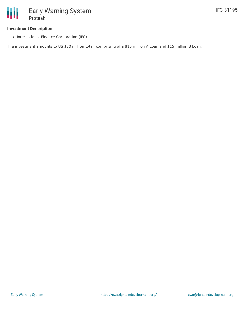# **Investment Description**

• International Finance Corporation (IFC)

The investment amounts to US \$30 million total; comprising of a \$15 million A Loan and \$15 million B Loan.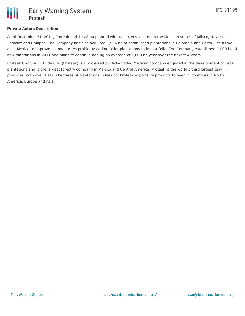## **Private Actors Description**

As of December 31, 2011, Proteak had 4,408 ha planted with teak trees located in the Mexican states of Jalisco, Nayarit, Tabasco and Chiapas. The Company has also acquired 1,956 ha of established plantations in Colombia and Costa Rica as well as in Mexico to improve its inventories profile by adding older plantations to its portfolio. The Company established 1,000 ha of new plantations in 2011 and plans to continue adding an average of 1,000 ha/year over the next few years.

Proteak Uno S.A.P.I.B. de C.V. (Proteak) is a mid-sized publicly-traded Mexican company engaged in the development of Teak plantations and is the largest forestry company in Mexico and Central America. Proteak is the world's third largest teak producer. With over 18,000 hectares of plantations in Mexico, Proteak exports its products to over 15 countries in North America, Europe and Asia.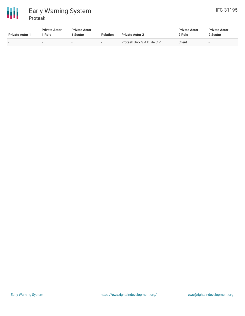

| <b>Private Actor 1</b> | <b>Private Actor</b><br>' Role | <b>Private Actor</b><br>Sector | <b>Relation</b>          | <b>Private Actor 2</b>      | <b>Private Actor</b><br>2 Role | <b>Private Actor</b><br>2 Sector |
|------------------------|--------------------------------|--------------------------------|--------------------------|-----------------------------|--------------------------------|----------------------------------|
|                        |                                |                                | $\overline{\phantom{0}}$ | Proteak Uno, S.A.B. de C.V. | Client                         | $\overline{\phantom{a}}$         |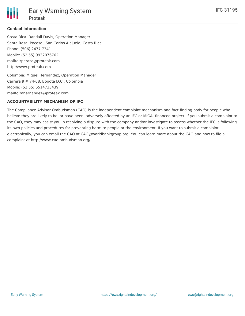## **Contact Information**

Costa Rica: Randall Davis, Operation Manager Santa Rosa, Pocosol, San Carlos Alajuela, Costa Rica Phone: (506) 2477 7341 Mobile: (52 55) 9932076762 mailto:rperaza@proteak.com http://www.proteak.com

Colombia: Miguel Hernandez, Operation Manager Carrera 9 # 74-08, Bogota D.C., Colombia Mobile: (52 55) 5514733439 mailto:mhernandez@proteak.com

## **ACCOUNTABILITY MECHANISM OF IFC**

The Compliance Advisor Ombudsman (CAO) is the independent complaint mechanism and fact-finding body for people who believe they are likely to be, or have been, adversely affected by an IFC or MIGA- financed project. If you submit a complaint to the CAO, they may assist you in resolving a dispute with the company and/or investigate to assess whether the IFC is following its own policies and procedures for preventing harm to people or the environment. If you want to submit a complaint electronically, you can email the CAO at CAO@worldbankgroup.org. You can learn more about the CAO and how to file a complaint at http://www.cao-ombudsman.org/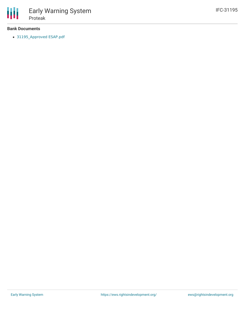

### **Bank Documents**

[31195\\_Approved](http://ifcextapps.ifc.org/ifcext/spiwebsite1.nsf/0/9cb4fc3375dbaf6c852579a3006ce7f7/$File/31195_Approved ESAP.pdf) ESAP.pdf